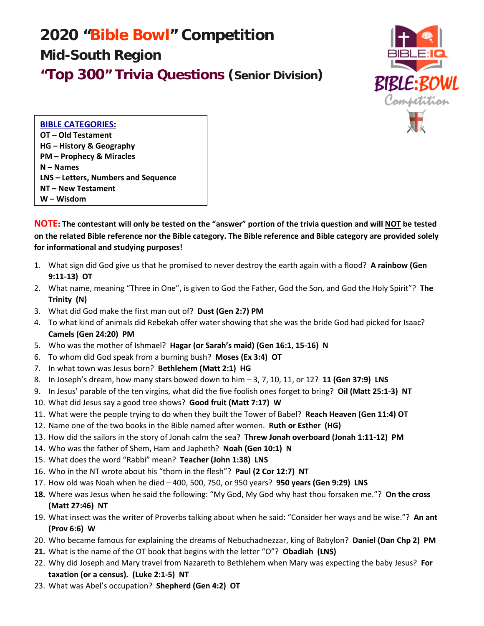# **2020 "Bible Bowl" Competition Mid-South Region "Top 300" Trivia Questions (Senior Division)**



**BIBLE CATEGORIES: OT – Old Testament HG – History & Geography PM – Prophecy & Miracles N – Names LNS – Letters, Numbers and Sequence NT – New Testament W – Wisdom** 

**NOTE: The contestant will only be tested on the "answer" portion of the trivia question and will NOT be tested on the related Bible reference nor the Bible category. The Bible reference and Bible category are provided solely for informational and studying purposes!**

- 1. What sign did God give us that he promised to never destroy the earth again with a flood? **A rainbow (Gen 9:11-13) OT**
- 2. What name, meaning "Three in One", is given to God the Father, God the Son, and God the Holy Spirit"? **The Trinity (N)**
- 3. What did God make the first man out of? **Dust (Gen 2:7) PM**
- 4. To what kind of animals did Rebekah offer water showing that she was the bride God had picked for Isaac? **Camels (Gen 24:20) PM**
- 5. Who was the mother of Ishmael? **Hagar (or Sarah's maid) (Gen 16:1, 15-16) N**
- 6. To whom did God speak from a burning bush? **Moses (Ex 3:4) OT**
- 7. In what town was Jesus born? **Bethlehem (Matt 2:1) HG**
- 8. In Joseph's dream, how many stars bowed down to him 3, 7, 10, 11, or 12? **11 (Gen 37:9) LNS**
- 9. In Jesus' parable of the ten virgins, what did the five foolish ones forget to bring? **Oil (Matt 25:1-3) NT**
- 10. What did Jesus say a good tree shows? **Good fruit (Matt 7:17) W**
- 11. What were the people trying to do when they built the Tower of Babel? **Reach Heaven (Gen 11:4) OT**
- 12. Name one of the two books in the Bible named after women. **Ruth or Esther (HG)**
- 13. How did the sailors in the story of Jonah calm the sea? **Threw Jonah overboard (Jonah 1:11-12) PM**
- 14. Who was the father of Shem, Ham and Japheth? **Noah (Gen 10:1) N**
- 15. What does the word "Rabbi" mean? **Teacher (John 1:38) LNS**
- 16. Who in the NT wrote about his "thorn in the flesh"? **Paul (2 Cor 12:7) NT**
- 17. How old was Noah when he died 400, 500, 750, or 950 years? **950 years (Gen 9:29) LNS**
- **18.** Where was Jesus when he said the following: "My God, My God why hast thou forsaken me."? **On the cross (Matt 27:46) NT**
- 19. What insect was the writer of Proverbs talking about when he said: "Consider her ways and be wise."? **An ant (Prov 6:6) W**
- 20. Who became famous for explaining the dreams of Nebuchadnezzar, king of Babylon? **Daniel (Dan Chp 2) PM**
- **21.** What is the name of the OT book that begins with the letter "O"? **Obadiah (LNS)**
- 22. Why did Joseph and Mary travel from Nazareth to Bethlehem when Mary was expecting the baby Jesus? **For taxation (or a census). (Luke 2:1-5) NT**
- 23. What was Abel's occupation? **Shepherd (Gen 4:2) OT**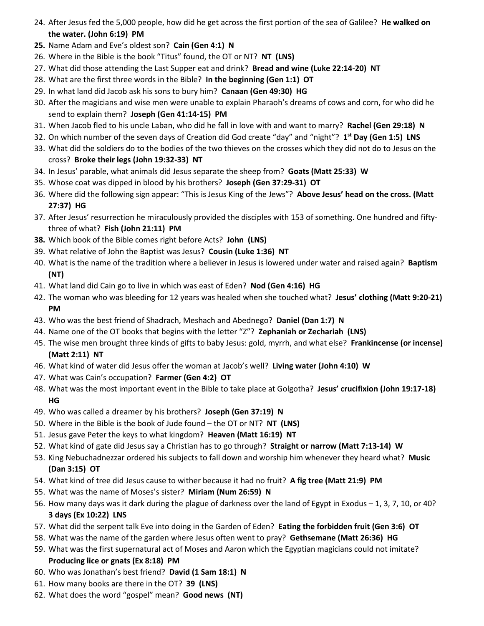- 24. After Jesus fed the 5,000 people, how did he get across the first portion of the sea of Galilee? **He walked on the water. (John 6:19) PM**
- **25.** Name Adam and Eve's oldest son? **Cain (Gen 4:1) N**
- 26. Where in the Bible is the book "Titus" found, the OT or NT? **NT (LNS)**
- 27. What did those attending the Last Supper eat and drink? **Bread and wine (Luke 22:14-20) NT**
- 28. What are the first three words in the Bible? **In the beginning (Gen 1:1) OT**
- 29. In what land did Jacob ask his sons to bury him? **Canaan (Gen 49:30) HG**
- 30. After the magicians and wise men were unable to explain Pharaoh's dreams of cows and corn, for who did he send to explain them? **Joseph (Gen 41:14-15) PM**
- 31. When Jacob fled to his uncle Laban, who did he fall in love with and want to marry? **Rachel (Gen 29:18) N**
- 32. On which number of the seven days of Creation did God create "day" and "night"? **1st Day (Gen 1:5) LNS**
- 33. What did the soldiers do to the bodies of the two thieves on the crosses which they did not do to Jesus on the cross? **Broke their legs (John 19:32-33) NT**
- 34. In Jesus' parable, what animals did Jesus separate the sheep from? **Goats (Matt 25:33) W**
- 35. Whose coat was dipped in blood by his brothers? **Joseph (Gen 37:29-31) OT**
- 36. Where did the following sign appear: "This is Jesus King of the Jews"? **Above Jesus' head on the cross. (Matt 27:37) HG**
- 37. After Jesus' resurrection he miraculously provided the disciples with 153 of something. One hundred and fiftythree of what? **Fish (John 21:11) PM**
- **38.** Which book of the Bible comes right before Acts? **John (LNS)**
- 39. What relative of John the Baptist was Jesus? **Cousin (Luke 1:36) NT**
- 40. What is the name of the tradition where a believer in Jesus is lowered under water and raised again? **Baptism (NT)**
- 41. What land did Cain go to live in which was east of Eden? **Nod (Gen 4:16) HG**
- 42. The woman who was bleeding for 12 years was healed when she touched what? **Jesus' clothing (Matt 9:20-21) PM**
- 43. Who was the best friend of Shadrach, Meshach and Abednego? **Daniel (Dan 1:7) N**
- 44. Name one of the OT books that begins with the letter "Z"? **Zephaniah or Zechariah (LNS)**
- 45. The wise men brought three kinds of gifts to baby Jesus: gold, myrrh, and what else? **Frankincense (or incense) (Matt 2:11) NT**
- 46. What kind of water did Jesus offer the woman at Jacob's well? **Living water (John 4:10) W**
- 47. What was Cain's occupation? **Farmer (Gen 4:2) OT**
- 48. What was the most important event in the Bible to take place at Golgotha? **Jesus' crucifixion (John 19:17-18) HG**
- 49. Who was called a dreamer by his brothers? **Joseph (Gen 37:19) N**
- 50. Where in the Bible is the book of Jude found the OT or NT? **NT (LNS)**
- 51. Jesus gave Peter the keys to what kingdom? **Heaven (Matt 16:19) NT**
- 52. What kind of gate did Jesus say a Christian has to go through? **Straight or narrow (Matt 7:13-14) W**
- 53. King Nebuchadnezzar ordered his subjects to fall down and worship him whenever they heard what? **Music (Dan 3:15) OT**
- 54. What kind of tree did Jesus cause to wither because it had no fruit? **A fig tree (Matt 21:9) PM**
- 55. What was the name of Moses's sister? **Miriam (Num 26:59) N**
- 56. How many days was it dark during the plague of darkness over the land of Egypt in Exodus 1, 3, 7, 10, or 40? **3 days (Ex 10:22) LNS**
- 57. What did the serpent talk Eve into doing in the Garden of Eden? **Eating the forbidden fruit (Gen 3:6) OT**
- 58. What was the name of the garden where Jesus often went to pray? **Gethsemane (Matt 26:36) HG**
- 59. What was the first supernatural act of Moses and Aaron which the Egyptian magicians could not imitate? **Producing lice or gnats (Ex 8:18) PM**
- 60. Who was Jonathan's best friend? **David (1 Sam 18:1) N**
- 61. How many books are there in the OT? **39 (LNS)**
- 62. What does the word "gospel" mean? **Good news (NT)**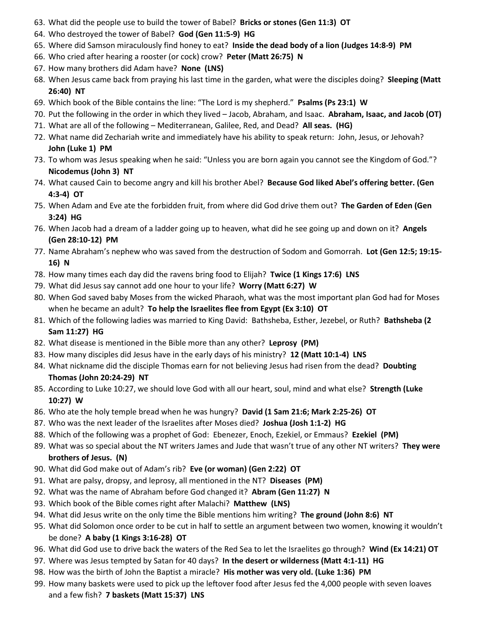- 63. What did the people use to build the tower of Babel? **Bricks or stones (Gen 11:3) OT**
- 64. Who destroyed the tower of Babel? **God (Gen 11:5-9) HG**
- 65. Where did Samson miraculously find honey to eat? **Inside the dead body of a lion (Judges 14:8-9) PM**
- 66. Who cried after hearing a rooster (or cock) crow? **Peter (Matt 26:75) N**
- 67. How many brothers did Adam have? **None (LNS)**
- 68. When Jesus came back from praying his last time in the garden, what were the disciples doing? **Sleeping (Matt 26:40) NT**
- 69. Which book of the Bible contains the line: "The Lord is my shepherd." **Psalms (Ps 23:1) W**
- 70. Put the following in the order in which they lived Jacob, Abraham, and Isaac. **Abraham, Isaac, and Jacob (OT)**
- 71. What are all of the following Mediterranean, Galilee, Red, and Dead? **All seas. (HG)**
- 72. What name did Zechariah write and immediately have his ability to speak return: John, Jesus, or Jehovah? **John (Luke 1) PM**
- 73. To whom was Jesus speaking when he said: "Unless you are born again you cannot see the Kingdom of God."? **Nicodemus (John 3) NT**
- 74. What caused Cain to become angry and kill his brother Abel? **Because God liked Abel's offering better. (Gen 4:3-4) OT**
- 75. When Adam and Eve ate the forbidden fruit, from where did God drive them out? **The Garden of Eden (Gen 3:24) HG**
- 76. When Jacob had a dream of a ladder going up to heaven, what did he see going up and down on it? **Angels (Gen 28:10-12) PM**
- 77. Name Abraham's nephew who was saved from the destruction of Sodom and Gomorrah. **Lot (Gen 12:5; 19:15- 16) N**
- 78. How many times each day did the ravens bring food to Elijah? **Twice (1 Kings 17:6) LNS**
- 79. What did Jesus say cannot add one hour to your life? **Worry (Matt 6:27) W**
- 80. When God saved baby Moses from the wicked Pharaoh, what was the most important plan God had for Moses when he became an adult? **To help the Israelites flee from Egypt (Ex 3:10) OT**
- 81. Which of the following ladies was married to King David: Bathsheba, Esther, Jezebel, or Ruth? **Bathsheba (2 Sam 11:27) HG**
- 82. What disease is mentioned in the Bible more than any other? **Leprosy (PM)**
- 83. How many disciples did Jesus have in the early days of his ministry? **12 (Matt 10:1-4) LNS**
- 84. What nickname did the disciple Thomas earn for not believing Jesus had risen from the dead? **Doubting Thomas (John 20:24-29) NT**
- 85. According to Luke 10:27, we should love God with all our heart, soul, mind and what else? **Strength (Luke 10:27) W**
- 86. Who ate the holy temple bread when he was hungry? **David (1 Sam 21:6; Mark 2:25-26) OT**
- 87. Who was the next leader of the Israelites after Moses died? **Joshua (Josh 1:1-2) HG**
- 88. Which of the following was a prophet of God: Ebenezer, Enoch, Ezekiel, or Emmaus? **Ezekiel (PM)**
- 89. What was so special about the NT writers James and Jude that wasn't true of any other NT writers? **They were brothers of Jesus. (N)**
- 90. What did God make out of Adam's rib? **Eve (or woman) (Gen 2:22) OT**
- 91. What are palsy, dropsy, and leprosy, all mentioned in the NT? **Diseases (PM)**
- 92. What was the name of Abraham before God changed it? **Abram (Gen 11:27) N**
- 93. Which book of the Bible comes right after Malachi? **Matthew (LNS)**
- 94. What did Jesus write on the only time the Bible mentions him writing? **The ground (John 8:6) NT**
- 95. What did Solomon once order to be cut in half to settle an argument between two women, knowing it wouldn't be done? **A baby (1 Kings 3:16-28) OT**
- 96. What did God use to drive back the waters of the Red Sea to let the Israelites go through? **Wind (Ex 14:21) OT**
- 97. Where was Jesus tempted by Satan for 40 days? **In the desert or wilderness (Matt 4:1-11) HG**
- 98. How was the birth of John the Baptist a miracle? **His mother was very old. (Luke 1:36) PM**
- 99. How many baskets were used to pick up the leftover food after Jesus fed the 4,000 people with seven loaves and a few fish? **7 baskets (Matt 15:37) LNS**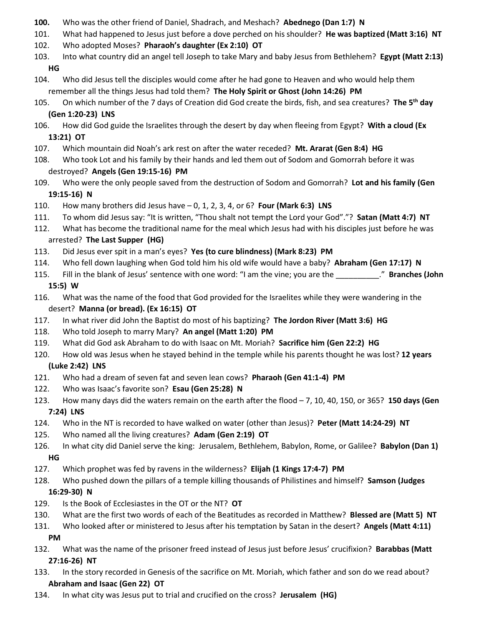- **100.** Who was the other friend of Daniel, Shadrach, and Meshach? **Abednego (Dan 1:7) N**
- 101. What had happened to Jesus just before a dove perched on his shoulder? **He was baptized (Matt 3:16) NT**
- 102. Who adopted Moses? **Pharaoh's daughter (Ex 2:10) OT**
- 103. Into what country did an angel tell Joseph to take Mary and baby Jesus from Bethlehem? **Egypt (Matt 2:13) HG**
- 104. Who did Jesus tell the disciples would come after he had gone to Heaven and who would help them remember all the things Jesus had told them? **The Holy Spirit or Ghost (John 14:26) PM**
- 105. On which number of the 7 days of Creation did God create the birds, fish, and sea creatures? **The 5th day (Gen 1:20-23) LNS**
- 106. How did God guide the Israelites through the desert by day when fleeing from Egypt? **With a cloud (Ex 13:21) OT**
- 107. Which mountain did Noah's ark rest on after the water receded? **Mt. Ararat (Gen 8:4) HG**
- 108. Who took Lot and his family by their hands and led them out of Sodom and Gomorrah before it was destroyed? **Angels (Gen 19:15-16) PM**
- 109. Who were the only people saved from the destruction of Sodom and Gomorrah? **Lot and his family (Gen 19:15-16) N**
- 110. How many brothers did Jesus have 0, 1, 2, 3, 4, or 6? **Four (Mark 6:3) LNS**
- 111. To whom did Jesus say: "It is written, "Thou shalt not tempt the Lord your God"."? **Satan (Matt 4:7) NT**
- 112. What has become the traditional name for the meal which Jesus had with his disciples just before he was arrested? **The Last Supper (HG)**
- 113. Did Jesus ever spit in a man's eyes? **Yes (to cure blindness) (Mark 8:23) PM**
- 114. Who fell down laughing when God told him his old wife would have a baby? **Abraham (Gen 17:17) N**
- 115. Fill in the blank of Jesus' sentence with one word: "I am the vine; you are the \_\_\_\_\_\_\_\_\_\_." **Branches (John 15:5) W**
- 116. What was the name of the food that God provided for the Israelites while they were wandering in the desert? **Manna (or bread). (Ex 16:15) OT**
- 117. In what river did John the Baptist do most of his baptizing? **The Jordon River (Matt 3:6) HG**
- 118. Who told Joseph to marry Mary? **An angel (Matt 1:20) PM**
- 119. What did God ask Abraham to do with Isaac on Mt. Moriah? **Sacrifice him (Gen 22:2) HG**
- 120. How old was Jesus when he stayed behind in the temple while his parents thought he was lost? **12 years (Luke 2:42) LNS**
- 121. Who had a dream of seven fat and seven lean cows? **Pharaoh (Gen 41:1-4) PM**
- 122. Who was Isaac's favorite son? **Esau (Gen 25:28) N**
- 123. How many days did the waters remain on the earth after the flood 7, 10, 40, 150, or 365? **150 days (Gen 7:24) LNS**
- 124. Who in the NT is recorded to have walked on water (other than Jesus)? **Peter (Matt 14:24-29) NT**
- 125. Who named all the living creatures? **Adam (Gen 2:19) OT**
- 126. In what city did Daniel serve the king: Jerusalem, Bethlehem, Babylon, Rome, or Galilee? **Babylon (Dan 1) HG**
- 127. Which prophet was fed by ravens in the wilderness? **Elijah (1 Kings 17:4-7) PM**
- 128. Who pushed down the pillars of a temple killing thousands of Philistines and himself? **Samson (Judges**

# **16:29-30) N**

- 129. Is the Book of Ecclesiastes in the OT or the NT? **OT**
- 130. What are the first two words of each of the Beatitudes as recorded in Matthew? **Blessed are (Matt 5) NT**
- 131. Who looked after or ministered to Jesus after his temptation by Satan in the desert? **Angels (Matt 4:11) PM**
- 132. What was the name of the prisoner freed instead of Jesus just before Jesus' crucifixion? **Barabbas (Matt 27:16-26) NT**
- 133. In the story recorded in Genesis of the sacrifice on Mt. Moriah, which father and son do we read about? **Abraham and Isaac (Gen 22) OT**
- 134. In what city was Jesus put to trial and crucified on the cross? **Jerusalem (HG)**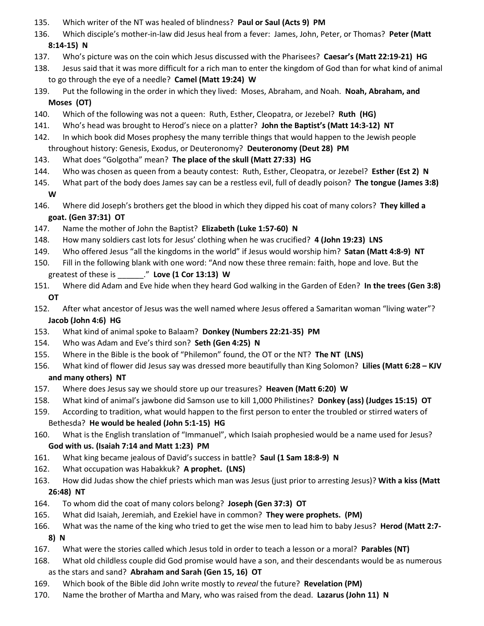- 135. Which writer of the NT was healed of blindness? **Paul or Saul (Acts 9) PM**
- 136. Which disciple's mother-in-law did Jesus heal from a fever: James, John, Peter, or Thomas? **Peter (Matt 8:14-15) N**
- 137. Who's picture was on the coin which Jesus discussed with the Pharisees? **Caesar's (Matt 22:19-21) HG**
- 138. Jesus said that it was more difficult for a rich man to enter the kingdom of God than for what kind of animal to go through the eye of a needle? **Camel (Matt 19:24) W**
- 139. Put the following in the order in which they lived: Moses, Abraham, and Noah. **Noah, Abraham, and Moses (OT)**
- 140. Which of the following was not a queen: Ruth, Esther, Cleopatra, or Jezebel? **Ruth (HG)**
- 141. Who's head was brought to Herod's niece on a platter? **John the Baptist's (Matt 14:3-12) NT**
- 142. In which book did Moses prophesy the many terrible things that would happen to the Jewish people throughout history: Genesis, Exodus, or Deuteronomy? **Deuteronomy (Deut 28) PM**
- 143. What does "Golgotha" mean? **The place of the skull (Matt 27:33) HG**
- 144. Who was chosen as queen from a beauty contest: Ruth, Esther, Cleopatra, or Jezebel? **Esther (Est 2) N**
- 145. What part of the body does James say can be a restless evil, full of deadly poison? **The tongue (James 3:8) W**
- 146. Where did Joseph's brothers get the blood in which they dipped his coat of many colors? **They killed a goat. (Gen 37:31) OT**
- 147. Name the mother of John the Baptist? **Elizabeth (Luke 1:57-60) N**
- 148. How many soldiers cast lots for Jesus' clothing when he was crucified? **4 (John 19:23) LNS**
- 149. Who offered Jesus "all the kingdoms in the world" if Jesus would worship him? **Satan (Matt 4:8-9) NT**
- 150. Fill in the following blank with one word: "And now these three remain: faith, hope and love. But the greatest of these is \_\_\_\_\_\_." **Love (1 Cor 13:13) W**
- 151. Where did Adam and Eve hide when they heard God walking in the Garden of Eden? **In the trees (Gen 3:8) OT**
- 152. After what ancestor of Jesus was the well named where Jesus offered a Samaritan woman "living water"? **Jacob (John 4:6) HG**
- 153. What kind of animal spoke to Balaam? **Donkey (Numbers 22:21-35) PM**
- 154. Who was Adam and Eve's third son? **Seth (Gen 4:25) N**
- 155. Where in the Bible is the book of "Philemon" found, the OT or the NT? **The NT (LNS)**
- 156. What kind of flower did Jesus say was dressed more beautifully than King Solomon? **Lilies (Matt 6:28 – KJV and many others) NT**
- 157. Where does Jesus say we should store up our treasures? **Heaven (Matt 6:20) W**
- 158. What kind of animal's jawbone did Samson use to kill 1,000 Philistines? **Donkey (ass) (Judges 15:15) OT**
- 159. According to tradition, what would happen to the first person to enter the troubled or stirred waters of Bethesda? **He would be healed (John 5:1-15) HG**
- 160. What is the English translation of "Immanuel", which Isaiah prophesied would be a name used for Jesus? **God with us. (Isaiah 7:14 and Matt 1:23) PM**
- 161. What king became jealous of David's success in battle? **Saul (1 Sam 18:8-9) N**
- 162. What occupation was Habakkuk? **A prophet. (LNS)**
- 163. How did Judas show the chief priests which man was Jesus (just prior to arresting Jesus)? **With a kiss (Matt 26:48) NT**
- 164. To whom did the coat of many colors belong? **Joseph (Gen 37:3) OT**
- 165. What did Isaiah, Jeremiah, and Ezekiel have in common? **They were prophets. (PM)**
- 166. What was the name of the king who tried to get the wise men to lead him to baby Jesus? **Herod (Matt 2:7- 8) N**
- 167. What were the stories called which Jesus told in order to teach a lesson or a moral? **Parables (NT)**
- 168. What old childless couple did God promise would have a son, and their descendants would be as numerous as the stars and sand? **Abraham and Sarah (Gen 15, 16) OT**
- 169. Which book of the Bible did John write mostly to *reveal* the future? **Revelation (PM)**
- 170. Name the brother of Martha and Mary, who was raised from the dead. **Lazarus (John 11) N**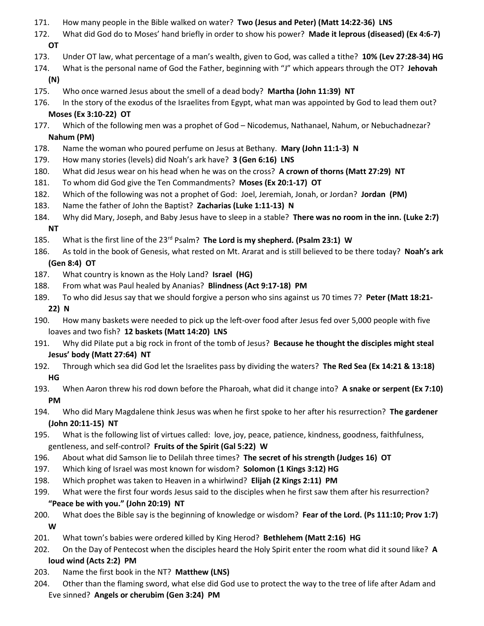- 171. How many people in the Bible walked on water? **Two (Jesus and Peter) (Matt 14:22-36) LNS**
- 172. What did God do to Moses' hand briefly in order to show his power? **Made it leprous (diseased) (Ex 4:6-7) OT**
- 173. Under OT law, what percentage of a man's wealth, given to God, was called a tithe? **10% (Lev 27:28-34) HG**
- 174. What is the personal name of God the Father, beginning with "J" which appears through the OT? **Jehovah (N)**
- 175. Who once warned Jesus about the smell of a dead body? **Martha (John 11:39) NT**
- 176. In the story of the exodus of the Israelites from Egypt, what man was appointed by God to lead them out? **Moses (Ex 3:10-22) OT**
- 177. Which of the following men was a prophet of God Nicodemus, Nathanael, Nahum, or Nebuchadnezar? **Nahum (PM)**
- 178. Name the woman who poured perfume on Jesus at Bethany. **Mary (John 11:1-3) N**
- 179. How many stories (levels) did Noah's ark have? **3 (Gen 6:16) LNS**
- 180. What did Jesus wear on his head when he was on the cross? **A crown of thorns (Matt 27:29) NT**
- 181. To whom did God give the Ten Commandments? **Moses (Ex 20:1-17) OT**
- 182. Which of the following was not a prophet of God: Joel, Jeremiah, Jonah, or Jordan? **Jordan (PM)**
- 183. Name the father of John the Baptist? **Zacharias (Luke 1:11-13) N**
- 184. Why did Mary, Joseph, and Baby Jesus have to sleep in a stable? **There was no room in the inn. (Luke 2:7) NT**
- 185. What is the first line of the 23rd Psalm? **The Lord is my shepherd. (Psalm 23:1) W**
- 186. As told in the book of Genesis, what rested on Mt. Ararat and is still believed to be there today? **Noah's ark (Gen 8:4) OT**
- 187. What country is known as the Holy Land? **Israel (HG)**
- 188. From what was Paul healed by Ananias? **Blindness (Act 9:17-18) PM**
- 189. To who did Jesus say that we should forgive a person who sins against us 70 times 7? **Peter (Matt 18:21-**

## **22) N**

- 190. How many baskets were needed to pick up the left-over food after Jesus fed over 5,000 people with five loaves and two fish? **12 baskets (Matt 14:20) LNS**
- 191. Why did Pilate put a big rock in front of the tomb of Jesus? **Because he thought the disciples might steal Jesus' body (Matt 27:64) NT**
- 192. Through which sea did God let the Israelites pass by dividing the waters? **The Red Sea (Ex 14:21 & 13:18) HG**
- 193. When Aaron threw his rod down before the Pharoah, what did it change into? **A snake or serpent (Ex 7:10) PM**
- 194. Who did Mary Magdalene think Jesus was when he first spoke to her after his resurrection? **The gardener (John 20:11-15) NT**
- 195. What is the following list of virtues called: love, joy, peace, patience, kindness, goodness, faithfulness, gentleness, and self-control? **Fruits of the Spirit (Gal 5:22) W**
- 196. About what did Samson lie to Delilah three times? **The secret of his strength (Judges 16) OT**
- 197. Which king of Israel was most known for wisdom? **Solomon (1 Kings 3:12) HG**
- 198. Which prophet was taken to Heaven in a whirlwind? **Elijah (2 Kings 2:11) PM**
- 199. What were the first four words Jesus said to the disciples when he first saw them after his resurrection? **"Peace be with you." (John 20:19) NT**
- 200. What does the Bible say is the beginning of knowledge or wisdom? **Fear of the Lord. (Ps 111:10; Prov 1:7) W**
- 201. What town's babies were ordered killed by King Herod? **Bethlehem (Matt 2:16) HG**
- 202. On the Day of Pentecost when the disciples heard the Holy Spirit enter the room what did it sound like? **A loud wind (Acts 2:2) PM**
- 203. Name the first book in the NT? **Matthew (LNS)**
- 204. Other than the flaming sword, what else did God use to protect the way to the tree of life after Adam and Eve sinned? **Angels or cherubim (Gen 3:24) PM**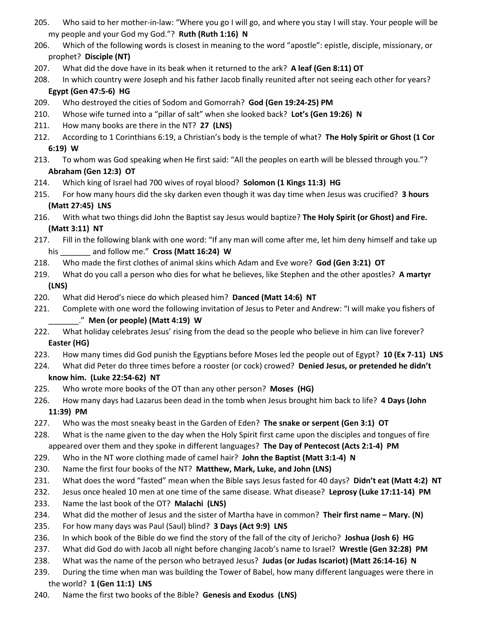- 205. Who said to her mother-in-law: "Where you go I will go, and where you stay I will stay. Your people will be my people and your God my God."? **Ruth (Ruth 1:16) N**
- 206. Which of the following words is closest in meaning to the word "apostle": epistle, disciple, missionary, or prophet? **Disciple (NT)**
- 207. What did the dove have in its beak when it returned to the ark? **A leaf (Gen 8:11) OT**
- 208. In which country were Joseph and his father Jacob finally reunited after not seeing each other for years? **Egypt (Gen 47:5-6) HG**
- 209. Who destroyed the cities of Sodom and Gomorrah? **God (Gen 19:24-25) PM**
- 210. Whose wife turned into a "pillar of salt" when she looked back? **Lot's (Gen 19:26) N**
- 211. How many books are there in the NT? **27 (LNS)**
- 212. According to 1 Corinthians 6:19, a Christian's body is the temple of what? **The Holy Spirit or Ghost (1 Cor 6:19) W**
- 213. To whom was God speaking when He first said: "All the peoples on earth will be blessed through you."? **Abraham (Gen 12:3) OT**
- 214. Which king of Israel had 700 wives of royal blood? **Solomon (1 Kings 11:3) HG**
- 215. For how many hours did the sky darken even though it was day time when Jesus was crucified? **3 hours (Matt 27:45) LNS**
- 216. With what two things did John the Baptist say Jesus would baptize? **The Holy Spirit (or Ghost) and Fire. (Matt 3:11) NT**
- 217. Fill in the following blank with one word: "If any man will come after me, let him deny himself and take up his \_\_\_\_\_\_\_ and follow me." **Cross (Matt 16:24) W**
- 218. Who made the first clothes of animal skins which Adam and Eve wore? **God (Gen 3:21) OT**
- 219. What do you call a person who dies for what he believes, like Stephen and the other apostles? **A martyr (LNS)**
- 220. What did Herod's niece do which pleased him? **Danced (Matt 14:6) NT**
- 221. Complete with one word the following invitation of Jesus to Peter and Andrew: "I will make you fishers of \_\_\_\_\_\_\_." **Men (or people) (Matt 4:19) W**
- 222. What holiday celebrates Jesus' rising from the dead so the people who believe in him can live forever? **Easter (HG)**
- 223. How many times did God punish the Egyptians before Moses led the people out of Egypt? **10 (Ex 7-11) LNS**
- 224. What did Peter do three times before a rooster (or cock) crowed? **Denied Jesus, or pretended he didn't know him. (Luke 22:54-62) NT**
- 225. Who wrote more books of the OT than any other person? **Moses (HG)**
- 226. How many days had Lazarus been dead in the tomb when Jesus brought him back to life? **4 Days (John**

#### **11:39) PM**

- 227. Who was the most sneaky beast in the Garden of Eden? **The snake or serpent (Gen 3:1) OT**
- 228. What is the name given to the day when the Holy Spirit first came upon the disciples and tongues of fire appeared over them and they spoke in different languages? **The Day of Pentecost (Acts 2:1-4) PM**
- 229. Who in the NT wore clothing made of camel hair? **John the Baptist (Matt 3:1-4) N**
- 230. Name the first four books of the NT? **Matthew, Mark, Luke, and John (LNS)**
- 231. What does the word "fasted" mean when the Bible says Jesus fasted for 40 days? **Didn't eat (Matt 4:2) NT**
- 232. Jesus once healed 10 men at one time of the same disease. What disease? **Leprosy (Luke 17:11-14) PM**
- 233. Name the last book of the OT? **Malachi (LNS)**
- 234. What did the mother of Jesus and the sister of Martha have in common? **Their first name – Mary. (N)**
- 235. For how many days was Paul (Saul) blind? **3 Days (Act 9:9) LNS**
- 236. In which book of the Bible do we find the story of the fall of the city of Jericho? **Joshua (Josh 6) HG**
- 237. What did God do with Jacob all night before changing Jacob's name to Israel? **Wrestle (Gen 32:28) PM**
- 238. What was the name of the person who betrayed Jesus? **Judas (or Judas Iscariot) (Matt 26:14-16) N**
- 239. During the time when man was building the Tower of Babel, how many different languages were there in the world? **1 (Gen 11:1) LNS**
- 240. Name the first two books of the Bible? **Genesis and Exodus (LNS)**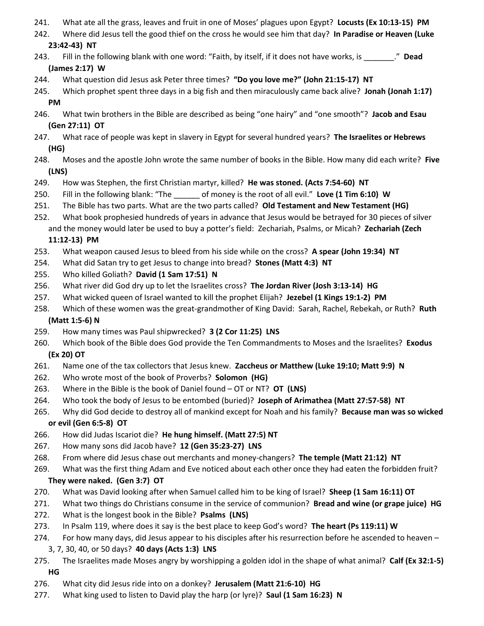- 241. What ate all the grass, leaves and fruit in one of Moses' plagues upon Egypt? **Locusts (Ex 10:13-15) PM**
- 242. Where did Jesus tell the good thief on the cross he would see him that day? **In Paradise or Heaven (Luke 23:42-43) NT**
- 243. Fill in the following blank with one word: "Faith, by itself, if it does not have works, is \_\_\_\_\_\_\_." **Dead (James 2:17) W**
- 244. What question did Jesus ask Peter three times? **"Do you love me?" (John 21:15-17) NT**
- 245. Which prophet spent three days in a big fish and then miraculously came back alive? **Jonah (Jonah 1:17) PM**
- 246. What twin brothers in the Bible are described as being "one hairy" and "one smooth"? **Jacob and Esau (Gen 27:11) OT**
- 247. What race of people was kept in slavery in Egypt for several hundred years? **The Israelites or Hebrews (HG)**
- 248. Moses and the apostle John wrote the same number of books in the Bible. How many did each write? **Five (LNS)**
- 249. How was Stephen, the first Christian martyr, killed? **He was stoned. (Acts 7:54-60) NT**
- 250. Fill in the following blank: "The \_\_\_\_\_\_ of money is the root of all evil." **Love (1 Tim 6:10) W**
- 251. The Bible has two parts. What are the two parts called? **Old Testament and New Testament (HG)**
- 252. What book prophesied hundreds of years in advance that Jesus would be betrayed for 30 pieces of silver and the money would later be used to buy a potter's field: Zechariah, Psalms, or Micah? **Zechariah (Zech**

#### **11:12-13) PM**

- 253. What weapon caused Jesus to bleed from his side while on the cross? **A spear (John 19:34) NT**
- 254. What did Satan try to get Jesus to change into bread? **Stones (Matt 4:3) NT**
- 255. Who killed Goliath? **David (1 Sam 17:51) N**
- 256. What river did God dry up to let the Israelites cross? **The Jordan River (Josh 3:13-14) HG**
- 257. What wicked queen of Israel wanted to kill the prophet Elijah? **Jezebel (1 Kings 19:1-2) PM**
- 258. Which of these women was the great-grandmother of King David: Sarah, Rachel, Rebekah, or Ruth? **Ruth (Matt 1:5-6) N**
- 259. How many times was Paul shipwrecked? **3 (2 Cor 11:25) LNS**
- 260. Which book of the Bible does God provide the Ten Commandments to Moses and the Israelites? **Exodus (Ex 20) OT**
- 261. Name one of the tax collectors that Jesus knew. **Zaccheus or Matthew (Luke 19:10; Matt 9:9) N**
- 262. Who wrote most of the book of Proverbs? **Solomon (HG)**
- 263. Where in the Bible is the book of Daniel found OT or NT? **OT (LNS)**
- 264. Who took the body of Jesus to be entombed (buried)? **Joseph of Arimathea (Matt 27:57-58) NT**
- 265. Why did God decide to destroy all of mankind except for Noah and his family? **Because man was so wicked or evil (Gen 6:5-8) OT**
- 266. How did Judas Iscariot die? **He hung himself. (Matt 27:5) NT**
- 267. How many sons did Jacob have? **12 (Gen 35:23-27) LNS**
- 268. From where did Jesus chase out merchants and money-changers? **The temple (Matt 21:12) NT**
- 269. What was the first thing Adam and Eve noticed about each other once they had eaten the forbidden fruit? **They were naked. (Gen 3:7) OT**
- 270. What was David looking after when Samuel called him to be king of Israel? **Sheep (1 Sam 16:11) OT**
- 271. What two things do Christians consume in the service of communion? **Bread and wine (or grape juice) HG**
- 272. What is the longest book in the Bible? **Psalms (LNS)**
- 273. In Psalm 119, where does it say is the best place to keep God's word? **The heart (Ps 119:11) W**
- 274. For how many days, did Jesus appear to his disciples after his resurrection before he ascended to heaven 3, 7, 30, 40, or 50 days? **40 days (Acts 1:3) LNS**
- 275. The Israelites made Moses angry by worshipping a golden idol in the shape of what animal? **Calf (Ex 32:1-5) HG**
- 276. What city did Jesus ride into on a donkey? **Jerusalem (Matt 21:6-10) HG**
- 277. What king used to listen to David play the harp (or lyre)? **Saul (1 Sam 16:23) N**